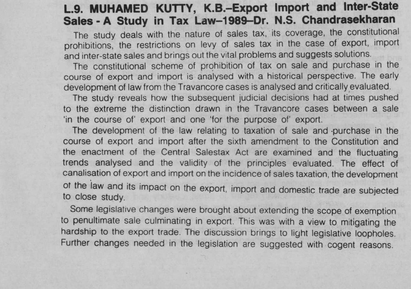## **L.9. MUHAMED** KUTTY, **K.B.-Export Import and Inter-State Sales** - **A Study in Tax Law**-**1989**-**Dr. N.S. Chandrasekharan**

The study deals with the nature of sales tax, its coverage, the constitutional prohibitions, the restrictions on levy of sales tax in the case of export, import and inter-state sales and brings out the vital problems and suggests solutions.

The constitutional scheme of prohibition of tax on sale and purchase in the course of export and import is analysed with a historical perspective. The early development of law from the Travancore cases is analysed and critically evaluated.

The study reveals how the subsequent judicial decisions had at times pushed to the extreme the distinction drawn in the Travancore cases between a sale 'in the course of' export and one 'for the purpose of' export.

The development of the law relating to taxation of sale and purchase in the course of export and import after the sixth amendment to the Constitution and the enactment of the Central Salestax Act are examined and the fluctuating trends analysed and the validity of the principles evaluated. The effect of canalisation of export and import on the incidence of sales taxation, the development of the law and its impact on the export, import and domestic trade are subjected to close study.

Some legislative changes were brought about extending the scope of exemption to penultimate sale culminating in export. This was with a view to mitigating the hardship to the export trade. The discussion brings to light legislative loopholes. Further changes needed in the legislation are suggested with cogent reasons.